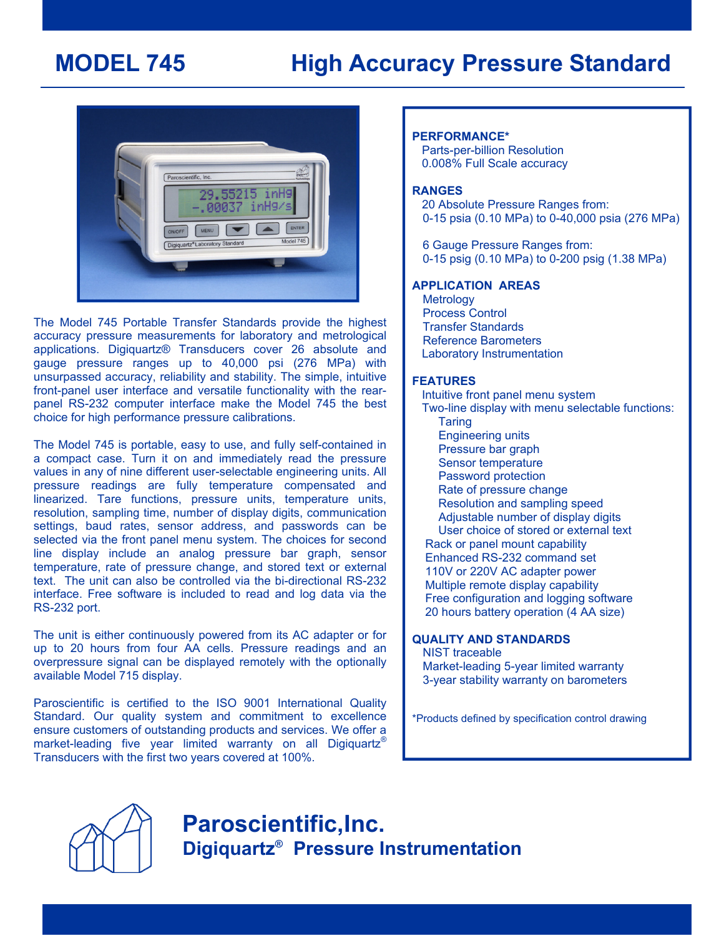# **MODEL 745 High Accuracy Pressure Standard**



The Model 745 Portable Transfer Standards provide the highest accuracy pressure measurements for laboratory and metrological applications. Digiquartz® Transducers cover 26 absolute and gauge pressure ranges up to 40,000 psi (276 MPa) with unsurpassed accuracy, reliability and stability. The simple, intuitive front-panel user interface and versatile functionality with the rearpanel RS-232 computer interface make the Model 745 the best choice for high performance pressure calibrations.

The Model 745 is portable, easy to use, and fully self-contained in a compact case. Turn it on and immediately read the pressure values in any of nine different user-selectable engineering units. All pressure readings are fully temperature compensated and linearized. Tare functions, pressure units, temperature units, resolution, sampling time, number of display digits, communication settings, baud rates, sensor address, and passwords can be selected via the front panel menu system. The choices for second line display include an analog pressure bar graph, sensor temperature, rate of pressure change, and stored text or external text. The unit can also be controlled via the bi-directional RS-232 interface. Free software is included to read and log data via the RS-232 port.

The unit is either continuously powered from its AC adapter or for up to 20 hours from four AA cells. Pressure readings and an overpressure signal can be displayed remotely with the optionally available Model 715 display.

Paroscientific is certified to the ISO 9001 International Quality Standard. Our quality system and commitment to excellence ensure customers of outstanding products and services. We offer a market-leading five year limited warranty on all Digiquartz<sup>®</sup> Transducers with the first two years covered at 100%.

# **PERFORMANCE\***

 Parts-per-billion Resolution 0.008% Full Scale accuracy

# **RANGES**

 20 Absolute Pressure Ranges from: 0-15 psia (0.10 MPa) to 0-40,000 psia (276 MPa)

 6 Gauge Pressure Ranges from: 0-15 psig (0.10 MPa) to 0-200 psig (1.38 MPa)

# **APPLICATION AREAS**

**Metrology**  Process Control Transfer Standards Reference Barometers Laboratory Instrumentation

### **FEATURES**

 Intuitive front panel menu system Two-line display with menu selectable functions: **Taring**  Engineering units Pressure bar graph Sensor temperature Password protection Rate of pressure change Resolution and sampling speed Adjustable number of display digits User choice of stored or external text Rack or panel mount capability Enhanced RS-232 command set 110V or 220V AC adapter power Multiple remote display capability Free configuration and logging software 20 hours battery operation (4 AA size) **QUALITY AND STANDARDS** 

NIST traceable Market-leading 5-year limited warranty 3-year stability warranty on barometers

\*Products defined by specification control drawing



**Paroscientific,Inc. Digiquartz® Pressure Instrumentation**